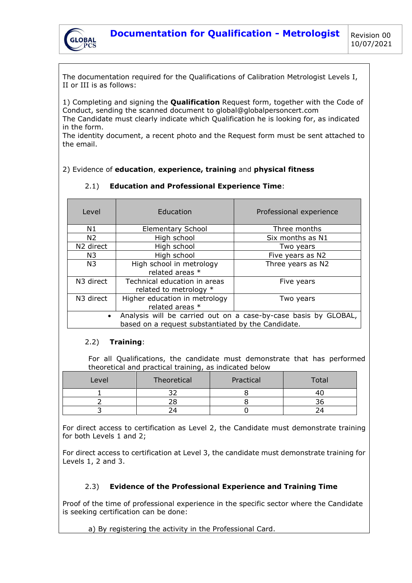

The documentation required for the Qualifications of Calibration Metrologist Levels I, II or III is as follows:

1) Completing and signing the **Qualification** Request form, together with the Code of Conduct, sending the scanned document to global@globalpersoncert.com The Candidate must clearly indicate which Qualification he is looking for, as indicated in the form.

The identity document, a recent photo and the Request form must be sent attached to the email.

## 2) Evidence of **education**, **experience, training** and **physical fitness**

| Level                                                                                                                              | Education                                              | Professional experience |  |
|------------------------------------------------------------------------------------------------------------------------------------|--------------------------------------------------------|-------------------------|--|
| N1                                                                                                                                 | <b>Elementary School</b>                               | Three months            |  |
| N <sub>2</sub>                                                                                                                     | High school                                            | Six months as N1        |  |
| N <sub>2</sub> direct                                                                                                              | High school                                            | Two years               |  |
| N3                                                                                                                                 | High school                                            | Five years as N2        |  |
| N <sub>3</sub>                                                                                                                     | High school in metrology<br>related areas *            | Three years as N2       |  |
| N3 direct                                                                                                                          | Technical education in areas<br>related to metrology * | Five years              |  |
| N3 direct                                                                                                                          | Higher education in metrology<br>related areas *       | Two years               |  |
| Analysis will be carried out on a case-by-case basis by GLOBAL,<br>$\bullet$<br>based on a request substantiated by the Candidate. |                                                        |                         |  |

## 2.1) **Education and Professional Experience Time**:

## 2.2) **Training**:

For all Qualifications, the candidate must demonstrate that has performed theoretical and practical training, as indicated below

| Level | Theoretical | Practical | Total |
|-------|-------------|-----------|-------|
|       |             |           |       |
|       |             |           |       |
|       |             |           |       |

For direct access to certification as Level 2, the Candidate must demonstrate training for both Levels 1 and 2;

For direct access to certification at Level 3, the candidate must demonstrate training for Levels 1, 2 and 3.

## 2.3) **Evidence of the Professional Experience and Training Time**

Proof of the time of professional experience in the specific sector where the Candidate is seeking certification can be done:

a) By registering the activity in the Professional Card.